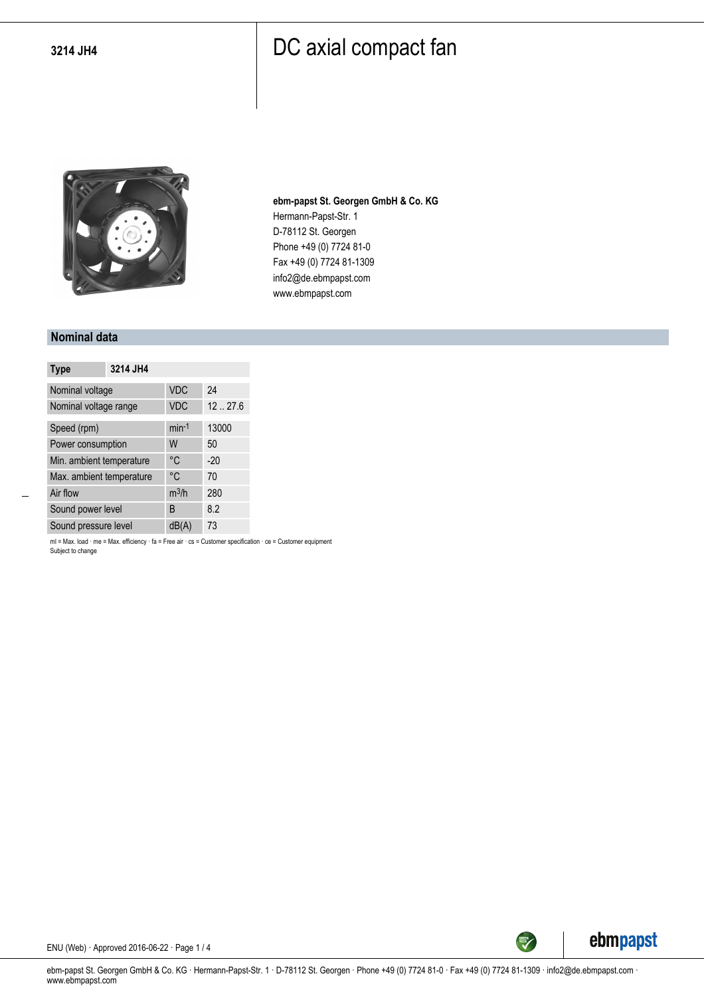

**ebm-papst St. Georgen GmbH & Co. KG** Hermann-Papst-Str. 1 D-78112 St. Georgen Phone +49 (0) 7724 81-0 Fax +49 (0) 7724 81-1309 info2@de.ebmpapst.com www.ebmpapst.com

#### **Nominal data**

| <b>Type</b>              | 3214 JH4 |            |        |
|--------------------------|----------|------------|--------|
| Nominal voltage          |          | <b>VDC</b> | 24     |
| Nominal voltage range    |          | <b>VDC</b> | 1227.6 |
| Speed (rpm)              |          | $min-1$    | 13000  |
| Power consumption        |          | W          | 50     |
| Min. ambient temperature |          | °C         | $-20$  |
| Max. ambient temperature |          | °C         | 70     |
| Air flow                 |          | $m^3/h$    | 280    |
| Sound power level        |          | B          | 8.2    |
| Sound pressure level     |          | dB(A)      | 73     |

ml = Max. load · me = Max. efficiency · fa = Free air · cs = Customer specification · ce = Customer equipment Subject to change



ENU (Web) · Approved 2016-06-22 · Page 1 / 4

ebm-papst St. Georgen GmbH & Co. KG · Hermann-Papst-Str. 1 · D-78112 St. Georgen · Phone +49 (0) 7724 81-0 · Fax +49 (0) 7724 81-1309 · info2@de.ebmpapst.com · www.ebmpapst.com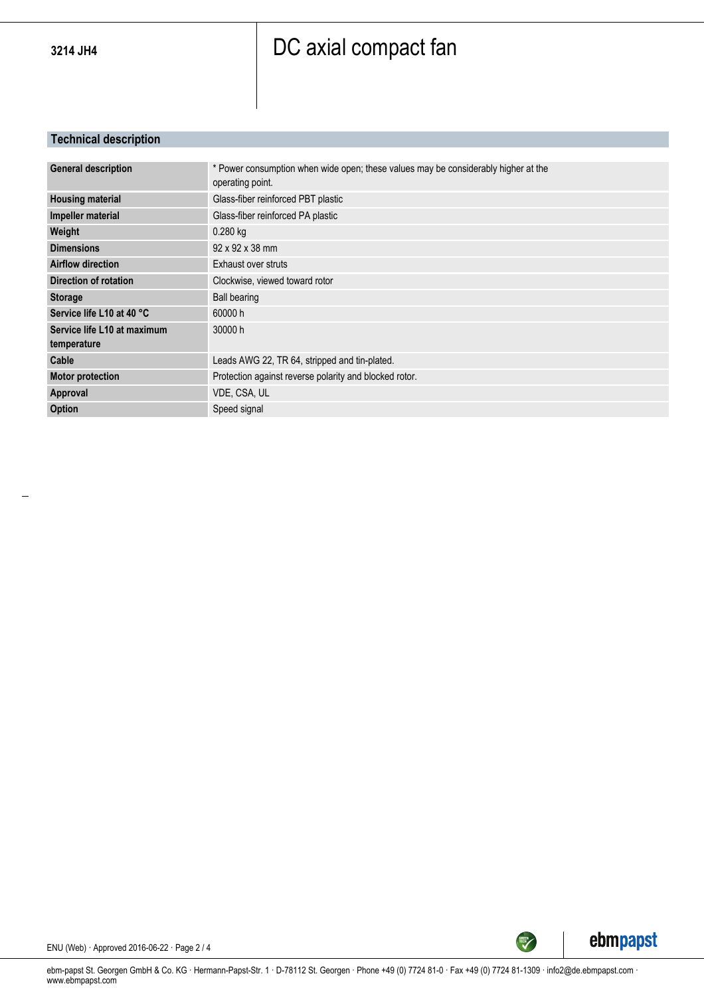### **Technical description**

| <b>General description</b><br>operating point.<br><b>Housing material</b><br>Glass-fiber reinforced PBT plastic<br><b>Impeller material</b><br>Glass-fiber reinforced PA plastic<br>Weight<br>0.280 kg<br>92 x 92 x 38 mm<br><b>Dimensions</b><br><b>Airflow direction</b><br>Exhaust over struts<br>Direction of rotation<br>Clockwise, viewed toward rotor<br>Ball bearing<br><b>Storage</b><br>Service life L10 at 40 °C<br>60000h<br>Service life L10 at maximum<br>30000 h<br>temperature<br>Leads AWG 22, TR 64, stripped and tin-plated.<br>Cable<br><b>Motor protection</b><br>Protection against reverse polarity and blocked rotor.<br>Approval<br>VDE, CSA, UL<br><b>Option</b><br>Speed signal |                                                                                    |
|------------------------------------------------------------------------------------------------------------------------------------------------------------------------------------------------------------------------------------------------------------------------------------------------------------------------------------------------------------------------------------------------------------------------------------------------------------------------------------------------------------------------------------------------------------------------------------------------------------------------------------------------------------------------------------------------------------|------------------------------------------------------------------------------------|
|                                                                                                                                                                                                                                                                                                                                                                                                                                                                                                                                                                                                                                                                                                            | * Power consumption when wide open; these values may be considerably higher at the |
|                                                                                                                                                                                                                                                                                                                                                                                                                                                                                                                                                                                                                                                                                                            |                                                                                    |
|                                                                                                                                                                                                                                                                                                                                                                                                                                                                                                                                                                                                                                                                                                            |                                                                                    |
|                                                                                                                                                                                                                                                                                                                                                                                                                                                                                                                                                                                                                                                                                                            |                                                                                    |
|                                                                                                                                                                                                                                                                                                                                                                                                                                                                                                                                                                                                                                                                                                            |                                                                                    |
|                                                                                                                                                                                                                                                                                                                                                                                                                                                                                                                                                                                                                                                                                                            |                                                                                    |
|                                                                                                                                                                                                                                                                                                                                                                                                                                                                                                                                                                                                                                                                                                            |                                                                                    |
|                                                                                                                                                                                                                                                                                                                                                                                                                                                                                                                                                                                                                                                                                                            |                                                                                    |
|                                                                                                                                                                                                                                                                                                                                                                                                                                                                                                                                                                                                                                                                                                            |                                                                                    |
|                                                                                                                                                                                                                                                                                                                                                                                                                                                                                                                                                                                                                                                                                                            |                                                                                    |
|                                                                                                                                                                                                                                                                                                                                                                                                                                                                                                                                                                                                                                                                                                            |                                                                                    |
|                                                                                                                                                                                                                                                                                                                                                                                                                                                                                                                                                                                                                                                                                                            |                                                                                    |
|                                                                                                                                                                                                                                                                                                                                                                                                                                                                                                                                                                                                                                                                                                            |                                                                                    |
|                                                                                                                                                                                                                                                                                                                                                                                                                                                                                                                                                                                                                                                                                                            |                                                                                    |
|                                                                                                                                                                                                                                                                                                                                                                                                                                                                                                                                                                                                                                                                                                            |                                                                                    |



ENU (Web) · Approved 2016-06-22 · Page 2 / 4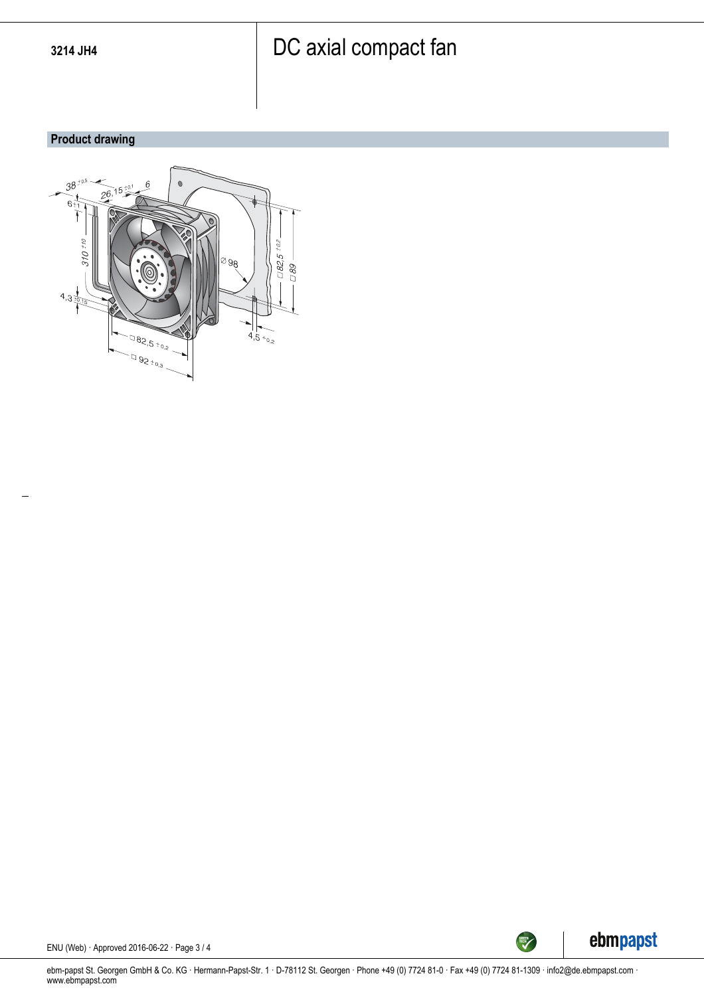### **Product drawing**





ENU (Web) · Approved 2016-06-22 · Page 3 / 4